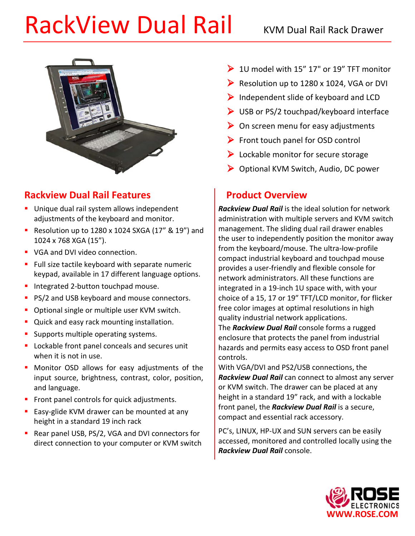# RackView Dual Rail **KRACKView Dual Rail Rack Drawer**



# **Rackview Dual Rail Features**

- **Unique dual rail system allows independent** adjustments of the keyboard and monitor.
- Resolution up to  $1280 \times 1024$  SXGA (17" & 19") and 1024 x 768 XGA (15").
- **VGA and DVI video connection.**
- Full size tactile keyboard with separate numeric keypad, available in 17 different language options.
- **Integrated 2-button touchpad mouse.**
- **PS/2 and USB keyboard and mouse connectors.**
- **Optional single or multiple user KVM switch.**
- **Quick and easy rack mounting installation.**
- **Supports multiple operating systems.**
- **Lockable front panel conceals and secures unit** when it is not in use.
- **Monitor OSD allows for easy adjustments of the** input source, brightness, contrast, color, position, and language.
- Front panel controls for quick adjustments.
- **Easy-glide KVM drawer can be mounted at any** height in a standard 19 inch rack
- Rear panel USB, PS/2, VGA and DVI connectors for direct connection to your computer or KVM switch
- $\geq 10$  model with 15" 17" or 19" TFT monitor
- Resolution up to  $1280 \times 1024$ , VGA or DVI
- $\triangleright$  Independent slide of keyboard and LCD
- $\triangleright$  USB or PS/2 touchpad/keyboard interface
- $\triangleright$  On screen menu for easy adjustments
- $\triangleright$  Front touch panel for OSD control
- $\triangleright$  Lockable monitor for secure storage
- ▶ Optional KVM Switch, Audio, DC power

# **Product Overview**

*Rackview Dual Rail* is the ideal solution for network administration with multiple servers and KVM switch management. The sliding dual rail drawer enables the user to independently position the monitor away from the keyboard/mouse. The ultra-low-profile compact industrial keyboard and touchpad mouse provides a user-friendly and flexible console for network administrators. All these functions are integrated in a 19-inch 1U space with, with your choice of a 15, 17 or 19" TFT/LCD monitor, for flicker free color images at optimal resolutions in high quality industrial network applications.

The *Rackview Dual Rail* console forms a rugged enclosure that protects the panel from industrial hazards and permits easy access to OSD front panel controls.

With VGA/DVI and PS2/USB connections, the *Rackview Dual Rail* can connect to almost any server or KVM switch. The drawer can be placed at any height in a standard 19" rack, and with a lockable front panel, the *Rackview Dual Rail* is a secure, compact and essential rack accessory.

PC's, LINUX, HP-UX and SUN servers can be easily accessed, monitored and controlled locally using the *Rackview Dual Rail* console.